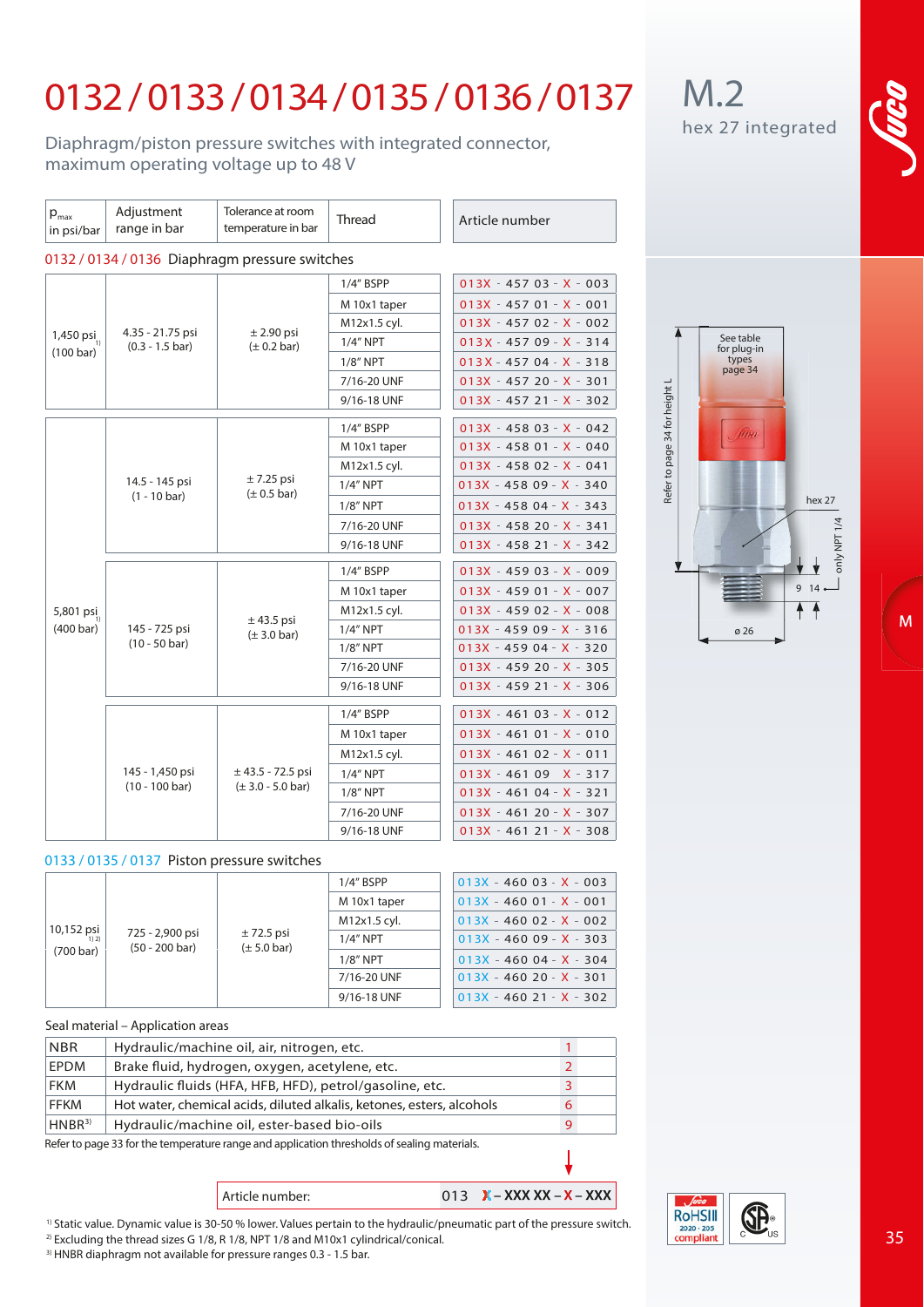# 0132 /0133 / 0134/0135 / 0136 / 0137

Diaphragm/piston pressure switches with integrated connector, maximum operating voltage up to 48 V

| $p_{\text{max}}$<br>in psi/bar                 | Adjustment<br>range in bar                    | Tolerance at room<br>temperature in bar              | <b>Thread</b> | Article number            |  |  |  |  |
|------------------------------------------------|-----------------------------------------------|------------------------------------------------------|---------------|---------------------------|--|--|--|--|
| 0132 / 0134 / 0136 Diaphragm pressure switches |                                               |                                                      |               |                           |  |  |  |  |
| 1,450 $psi_{1}$<br>(100 bar)                   | 4.35 - 21.75 psi<br>$(0.3 - 1.5 \text{ bar})$ |                                                      | $1/4$ " BSPP  | $013X - 45703 - X - 003$  |  |  |  |  |
|                                                |                                               |                                                      | M 10x1 taper  | $013X - 45701 - X - 001$  |  |  |  |  |
|                                                |                                               |                                                      | M12x1.5 cyl.  | $013X - 45702 - X - 002$  |  |  |  |  |
|                                                |                                               | $±$ 2.90 psi<br>$(\pm 0.2 \text{ bar})$              | $1/4$ " NPT   | $013X - 45709 - X - 314$  |  |  |  |  |
|                                                |                                               |                                                      | $1/8$ " NPT   | $013X - 45704 - X - 318$  |  |  |  |  |
|                                                |                                               |                                                      | 7/16-20 UNF   | $013X - 45720 - 20 - 301$ |  |  |  |  |
|                                                |                                               |                                                      | 9/16-18 UNF   | $013X - 45721 - X - 302$  |  |  |  |  |
|                                                |                                               |                                                      | 1/4" BSPP     | $013X - 45803 - X - 042$  |  |  |  |  |
|                                                |                                               |                                                      | M 10x1 taper  | $013X - 45801 - X - 040$  |  |  |  |  |
|                                                | 14.5 - 145 psi<br>$(1 - 10 \text{ bar})$      |                                                      | M12x1.5 cyl.  | $013X - 45802 - X - 041$  |  |  |  |  |
|                                                |                                               | $± 7.25$ psi<br>$(\pm 0.5$ bar)                      | $1/4''$ NPT   | $013X - 45809 - X - 340$  |  |  |  |  |
|                                                |                                               |                                                      | $1/8"$ NPT    | $013X - 45804 - X - 343$  |  |  |  |  |
|                                                |                                               |                                                      | 7/16-20 UNF   | $013X - 45820 - - 341$    |  |  |  |  |
|                                                |                                               |                                                      | 9/16-18 UNF   | $013X - 45821 - X - 342$  |  |  |  |  |
|                                                | 145 - 725 psi<br>$(10 - 50 \text{ bar})$      |                                                      | 1/4" BSPP     | $013X - 45903 - X - 009$  |  |  |  |  |
|                                                |                                               |                                                      | M 10x1 taper  | $013X - 45901 - X - 007$  |  |  |  |  |
| 5,801 psi                                      |                                               |                                                      | M12x1.5 cyl.  | $013X - 45902 - X - 008$  |  |  |  |  |
| $(400 \text{ bar})$                            |                                               | $±$ 43.5 psi<br>$(\pm 3.0 \text{ bar})$              | 1/4" NPT      | 013X - 459 09 - X - 316   |  |  |  |  |
|                                                |                                               |                                                      | $1/8"$ NPT    | $013X - 45904 - X - 320$  |  |  |  |  |
|                                                |                                               |                                                      | 7/16-20 UNF   | $013X - 45920 - 0.305$    |  |  |  |  |
|                                                |                                               |                                                      | 9/16-18 UNF   | $013X - 45921 - X - 306$  |  |  |  |  |
|                                                |                                               |                                                      | 1/4" BSPP     | $013X - 46103 - X - 012$  |  |  |  |  |
|                                                |                                               |                                                      | M 10x1 taper  | $013X - 46101 - X - 010$  |  |  |  |  |
|                                                |                                               |                                                      | M12x1.5 cyl.  | $013X - 46102 - X - 011$  |  |  |  |  |
|                                                | 145 - 1,450 psi<br>$(10 - 100 \text{ bar})$   | $±$ 43.5 - 72.5 psi<br>$(\pm 3.0 - 5.0 \text{ bar})$ | $1/4$ " NPT   | $013X - 46109X - 317$     |  |  |  |  |
|                                                |                                               |                                                      | $1/8$ " NPT   | $013X - 46104 - X - 321$  |  |  |  |  |
|                                                |                                               |                                                      | 7/16-20 UNF   | $013X - 46120 - 20 - 307$ |  |  |  |  |
|                                                |                                               |                                                      | 9/16-18 UNF   | $013X - 46121 - X - 308$  |  |  |  |  |

### **0133 / 0135 / 0137 Piston pressure switches**

| $10,152$ psi<br>$\frac{1}{1}$<br>(700 bar) | 725 - 2,900 psi<br>$(50 - 200 \text{ bar})$ | $\pm$ 72.5 psi<br>$(\pm 5.0 \text{ bar})$ | $1/4$ " BSPP | $013X - 46003 - X - 003$ |
|--------------------------------------------|---------------------------------------------|-------------------------------------------|--------------|--------------------------|
|                                            |                                             |                                           | M 10x1 taper | $013X - 46001 - X - 001$ |
|                                            |                                             |                                           | M12x1.5 cyl. | $013X - 46002 - X - 002$ |
|                                            |                                             |                                           | $1/4"$ NPT   | $013X - 46009 - X - 303$ |
|                                            |                                             |                                           | $1/8"$ NPT   | $013X - 46004 - X - 304$ |
|                                            |                                             |                                           | 7/16-20 UNF  | $013X - 46020 - X - 301$ |
|                                            |                                             |                                           | 9/16-18 UNF  | $013X - 46021 - X - 302$ |

#### **Seal material – Application areas**

| <b>NBR</b>                                                                                | Hydraulic/machine oil, air, nitrogen, etc.                            |   |  |  |  |
|-------------------------------------------------------------------------------------------|-----------------------------------------------------------------------|---|--|--|--|
| EPDM                                                                                      | Brake fluid, hydrogen, oxygen, acetylene, etc.                        |   |  |  |  |
| <b>FKM</b>                                                                                | Hydraulic fluids (HFA, HFB, HFD), petrol/gasoline, etc.               |   |  |  |  |
| <b>FFKM</b>                                                                               | Hot water, chemical acids, diluted alkalis, ketones, esters, alcohols | 6 |  |  |  |
| HNBR <sup>3</sup>                                                                         | Hydraulic/machine oil, ester-based bio-oils                           |   |  |  |  |
| Defer to nano 22 ferthe temperature range and application threeholds of coaling materials |                                                                       |   |  |  |  |

Refer to page 33 for the temperature range and application thresholds of sealing materials.

## Article number: 013 **X** – XXX XX – X – XXX

1) Static value. Dynamic value is 30-50 % lower. Values pertain to the hydraulic/pneumatic part of the pressure switch.

<sup>2)</sup> Excluding the thread sizes G 1/8, R 1/8, NPT 1/8 and M10x1 cylindrical/conical.<br><sup>3)</sup> HNBR diaphragm not available for pressure ranges 0.3 - 1.5 bar.



hex 27

 $1/4$ 

M

See table for plug-in types page 34

Refer to page 34 for height L

Refer to page 34 for height L

## M.2 hex 27 integrated



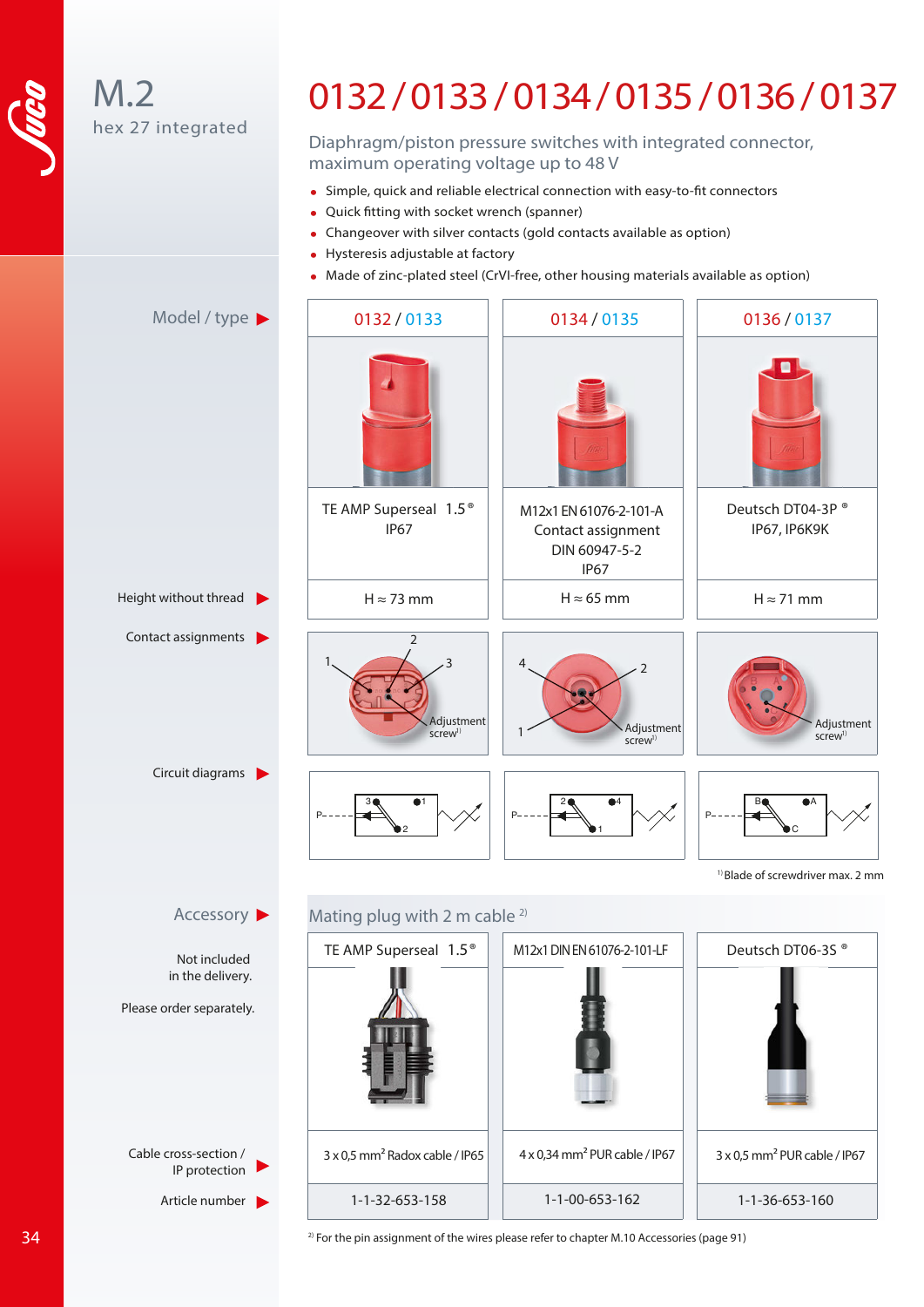

 $M.2$ hex 27 integrated hex 27 integrated M.2

### 0132/0133/ 0134/ 0135/ 0136/ 0137 Diaphragm/piston pressure switches with integrated connector, 0132 / 0133/ 0134/0135 / 0136 / 0137

Diaphragm/piston pressure switches with integrated connector, maximum operating voltage up to 48 V

- Simple, quick and reliable electrical connection with easy-to-fit connectors
- Quick fitting with socket wrench (spanner)
- Changeover with silver contacts (gold contacts available as option) Changeover with silver contacts (gold contacts available as option)
- Hysteresis adjustable at factory Hysteresis adjustable at factory
- Made of zinc-plated steel (CrVI-free, other housing materials available as option) Made of zinc-plated steel (CrVI-free, other housing materials available as option)



 $2)$  For the pin assignment of the wires please refer to chapter M.10 Accessories (page 91)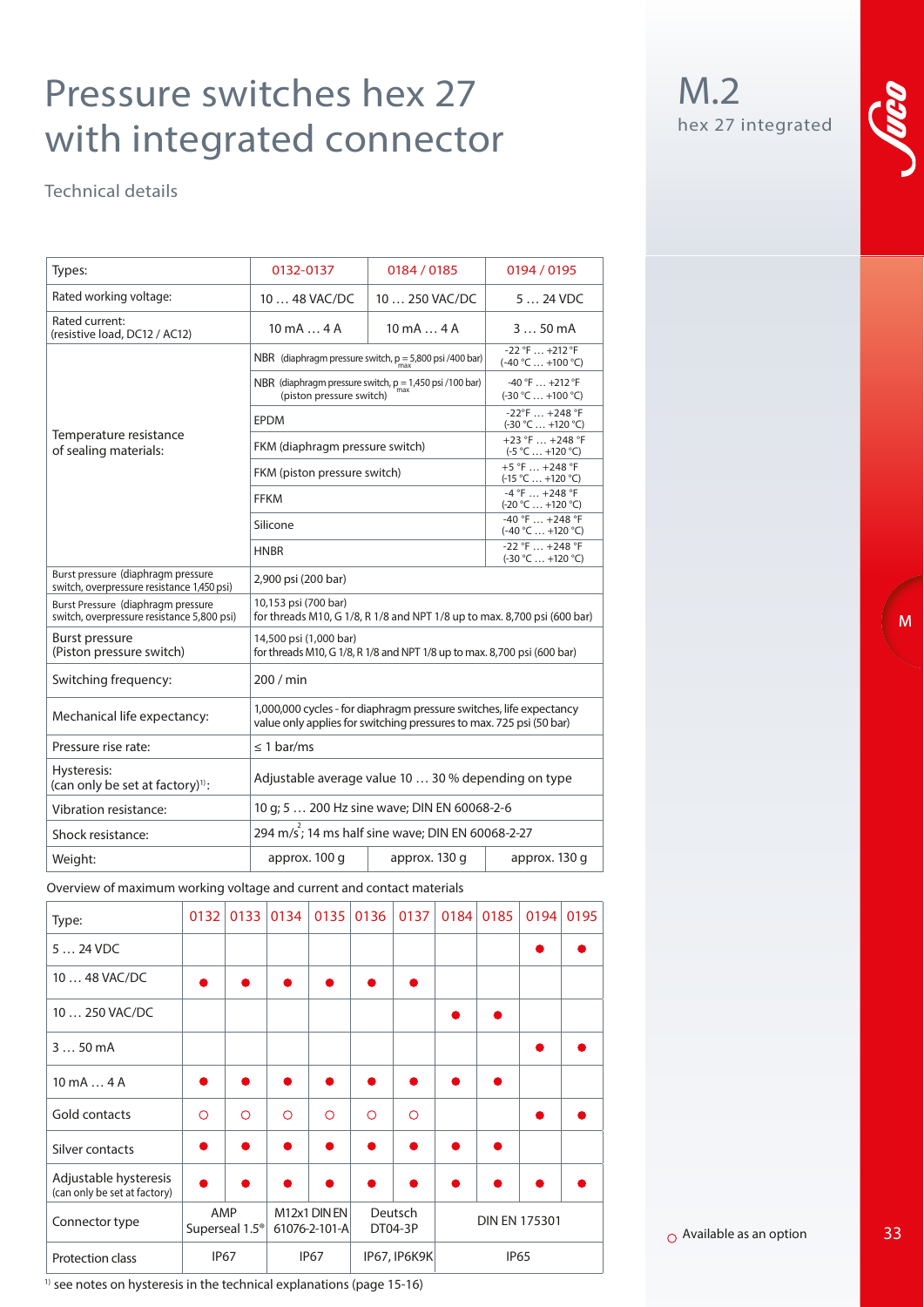# Pressure switches hex 27 with integrated connector

Technical details

| Types:                                                                           | 0132-0137                                                                                                                                  | 0184 / 0185                                     | 0194 / 0195   |  |  |  |  |
|----------------------------------------------------------------------------------|--------------------------------------------------------------------------------------------------------------------------------------------|-------------------------------------------------|---------------|--|--|--|--|
| Rated working voltage:                                                           | $1048$ VAC/DC<br>10  250 VAC/DC                                                                                                            |                                                 | $524$ VDC     |  |  |  |  |
| Rated current:<br>(resistive load, DC12 / AC12)                                  | $10 \text{ mA} \dots 4 \text{ A}$                                                                                                          | $10 \text{ mA} \dots 4 \text{ A}$               | 350mA         |  |  |  |  |
|                                                                                  | NBR (diaphragm pressure switch, $p = 5,800$ psi /400 bar)                                                                                  | $-22$ °F $+212$ °F<br>$(-40 °C  +100 °C)$       |               |  |  |  |  |
|                                                                                  | NBR (diaphragm pressure switch, $p = 1,450$ psi /100 bar)<br>(piston pressure switch)                                                      | $-40$ °F $+212$ °F<br>$(-30 °C  +100 °C)$       |               |  |  |  |  |
|                                                                                  | <b>EPDM</b>                                                                                                                                | $-22^{\circ}$ F  +248 °F<br>$(-30 °C  +120 °C)$ |               |  |  |  |  |
| Temperature resistance<br>of sealing materials:                                  | FKM (diaphragm pressure switch)                                                                                                            | +23 °F  +248 °F<br>$(-5 °C  +120 °C)$           |               |  |  |  |  |
|                                                                                  | FKM (piston pressure switch)                                                                                                               | $+5$ °F  +248 °F<br>$(-15 °C  +120 °C)$         |               |  |  |  |  |
|                                                                                  | <b>FFKM</b>                                                                                                                                | $-4 °F  +248 °F$<br>$(-20 °C  +120 °C)$         |               |  |  |  |  |
|                                                                                  | Silicone                                                                                                                                   | $-40$ °F  +248 °F<br>$(-40 °C  +120 °C)$        |               |  |  |  |  |
|                                                                                  | <b>HNBR</b>                                                                                                                                | $-22$ °F  +248 °F<br>$(-30 °C  +120 °C)$        |               |  |  |  |  |
| Burst pressure (diaphragm pressure<br>switch, overpressure resistance 1,450 psi) | 2,900 psi (200 bar)                                                                                                                        |                                                 |               |  |  |  |  |
| Burst Pressure (diaphragm pressure<br>switch, overpressure resistance 5,800 psi) | 10,153 psi (700 bar)<br>for threads M10, G 1/8, R 1/8 and NPT 1/8 up to max. 8,700 psi (600 bar)                                           |                                                 |               |  |  |  |  |
| Burst pressure<br>(Piston pressure switch)                                       | 14,500 psi (1,000 bar)<br>for threads M10, G 1/8, R 1/8 and NPT 1/8 up to max. 8,700 psi (600 bar)                                         |                                                 |               |  |  |  |  |
| Switching frequency:                                                             | 200 / min                                                                                                                                  |                                                 |               |  |  |  |  |
| Mechanical life expectancy:                                                      | 1,000,000 cycles - for diaphragm pressure switches, life expectancy<br>value only applies for switching pressures to max. 725 psi (50 bar) |                                                 |               |  |  |  |  |
| Pressure rise rate:                                                              | $\leq$ 1 bar/ms                                                                                                                            |                                                 |               |  |  |  |  |
| Hysteresis:<br>(can only be set at factory) <sup>1)</sup> :                      | Adjustable average value 10  30 % depending on type                                                                                        |                                                 |               |  |  |  |  |
| Vibration resistance:                                                            | 10 g; 5  200 Hz sine wave; DIN EN 60068-2-6                                                                                                |                                                 |               |  |  |  |  |
| Shock resistance:                                                                | 294 m/s <sup>2</sup> ; 14 ms half sine wave; DIN EN 60068-2-27                                                                             |                                                 |               |  |  |  |  |
| Weight:                                                                          | approx. 100 q                                                                                                                              | approx. 130 q                                   | approx. 130 g |  |  |  |  |

**Overview of maximum working voltage and current and contact materials**

| Type:                                                 | 0132       | 0133       | 0134                                                                        | 0135        | 0136         | 0137       | 0184 | 0185        | 0194 | 0195 |
|-------------------------------------------------------|------------|------------|-----------------------------------------------------------------------------|-------------|--------------|------------|------|-------------|------|------|
| $524$ VDC                                             |            |            |                                                                             |             |              |            |      |             |      |      |
| 10  48 VAC/DC                                         |            |            |                                                                             |             |              |            |      |             |      |      |
| 10  250 VAC/DC                                        |            |            |                                                                             |             |              |            |      |             |      |      |
| $350$ mA                                              |            |            |                                                                             |             |              |            |      |             |      |      |
| $10 \text{ mA} \dots 4 \text{ A}$                     |            |            |                                                                             |             |              |            |      |             |      |      |
| Gold contacts                                         | $\bigcirc$ | $\bigcirc$ | $\bigcirc$                                                                  | $\bigcirc$  | $\circ$      | $\bigcirc$ |      |             |      |      |
| Silver contacts                                       |            |            |                                                                             |             |              | $\bullet$  |      |             |      |      |
| Adjustable hysteresis<br>(can only be set at factory) |            |            |                                                                             |             |              |            |      |             |      |      |
| AMP<br>Connector type<br>Superseal 1.5 <sup>®</sup>   |            |            | M12x1 DIN EN<br>Deutsch<br><b>DIN EN 175301</b><br>61076-2-101-A<br>DT04-3P |             |              |            |      |             |      |      |
| Protection class                                      |            | IP67       |                                                                             | <b>IP67</b> | IP67, IP6K9K |            |      | <b>IP65</b> |      |      |

 $1)$  see notes on hysteresis in the technical explanations (page 15-16)

M.2 hex 27 integrated



 $\overline{M}$